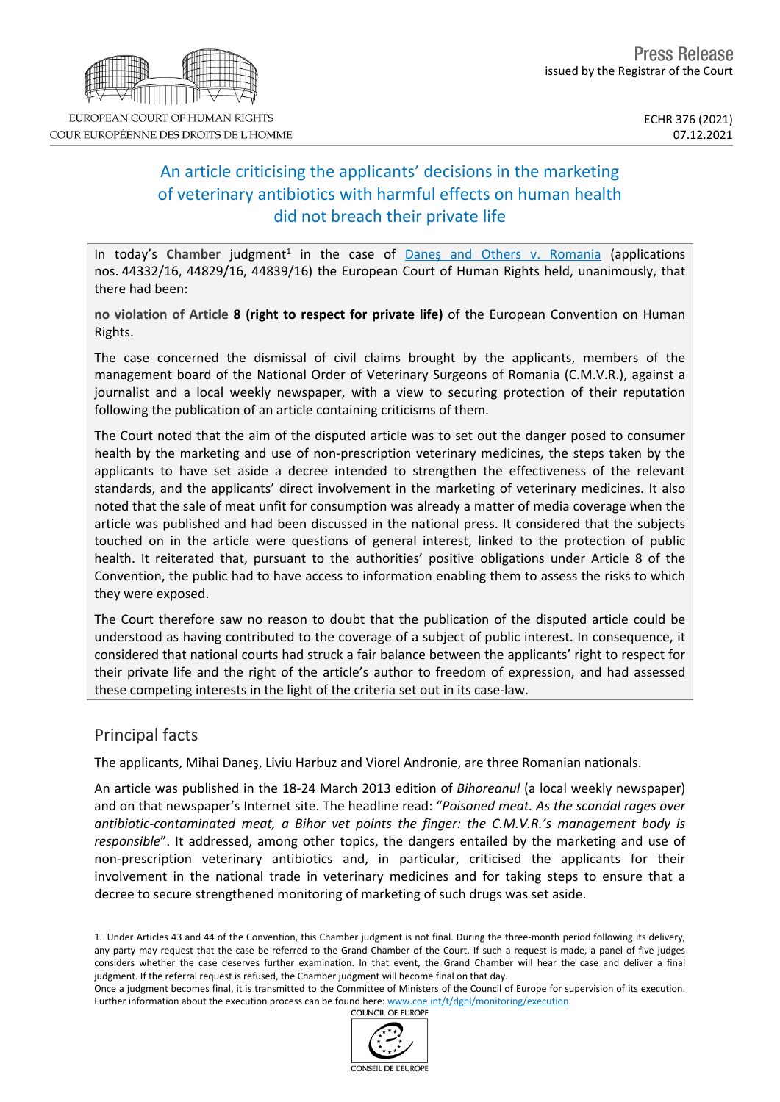

COUR EUROPÉENNE DES DROITS DE L'HOMME

# An article criticising the applicants' decisions in the marketing of veterinary antibiotics with harmful effects on human health did not breach their private life

In today's Chamber judgment<sup>1</sup> in the case of **Danes and Others v. [Romania](https://hudoc.echr.coe.int/eng?i=001-213772)** (applications nos. 44332/16, 44829/16, 44839/16) the European Court of Human Rights held, unanimously, that there had been:

**no violation of Article 8 (right to respect for private life)** of the European Convention on Human Rights.

The case concerned the dismissal of civil claims brought by the applicants, members of the management board of the National Order of Veterinary Surgeons of Romania (C.M.V.R.), against a journalist and a local weekly newspaper, with a view to securing protection of their reputation following the publication of an article containing criticisms of them.

The Court noted that the aim of the disputed article was to set out the danger posed to consumer health by the marketing and use of non-prescription veterinary medicines, the steps taken by the applicants to have set aside a decree intended to strengthen the effectiveness of the relevant standards, and the applicants' direct involvement in the marketing of veterinary medicines. It also noted that the sale of meat unfit for consumption was already a matter of media coverage when the article was published and had been discussed in the national press. It considered that the subjects touched on in the article were questions of general interest, linked to the protection of public health. It reiterated that, pursuant to the authorities' positive obligations under Article 8 of the Convention, the public had to have access to information enabling them to assess the risks to which they were exposed.

The Court therefore saw no reason to doubt that the publication of the disputed article could be understood as having contributed to the coverage of a subject of public interest. In consequence, it considered that national courts had struck a fair balance between the applicants' right to respect for their private life and the right of the article's author to freedom of expression, and had assessed these competing interests in the light of the criteria set out in its case-law.

### Principal facts

The applicants, Mihai Daneş, Liviu Harbuz and Viorel Andronie, are three Romanian nationals.

An article was published in the 18-24 March 2013 edition of *Bihoreanul* (a local weekly newspaper) and on that newspaper's Internet site. The headline read: "*Poisoned meat. As the scandal rages over antibiotic-contaminated meat, a Bihor vet points the finger: the C.M.V.R.'s management body is responsible*". It addressed, among other topics, the dangers entailed by the marketing and use of non-prescription veterinary antibiotics and, in particular, criticised the applicants for their involvement in the national trade in veterinary medicines and for taking steps to ensure that a decree to secure strengthened monitoring of marketing of such drugs was set aside.

1. Under Articles 43 and 44 of the Convention, this Chamber judgment is not final. During the three-month period following its delivery, any party may request that the case be referred to the Grand Chamber of the Court. If such a request is made, a panel of five judges considers whether the case deserves further examination. In that event, the Grand Chamber will hear the case and deliver a final judgment. If the referral request is refused, the Chamber judgment will become final on that day.

Once a judgment becomes final, it is transmitted to the Committee of Ministers of the Council of Europe for supervision of its execution. Further information about the execution process can be found here: [www.coe.int/t/dghl/monitoring/execution](http://www.coe.int/t/dghl/monitoring/execution). COUNCIL OF EUROPE

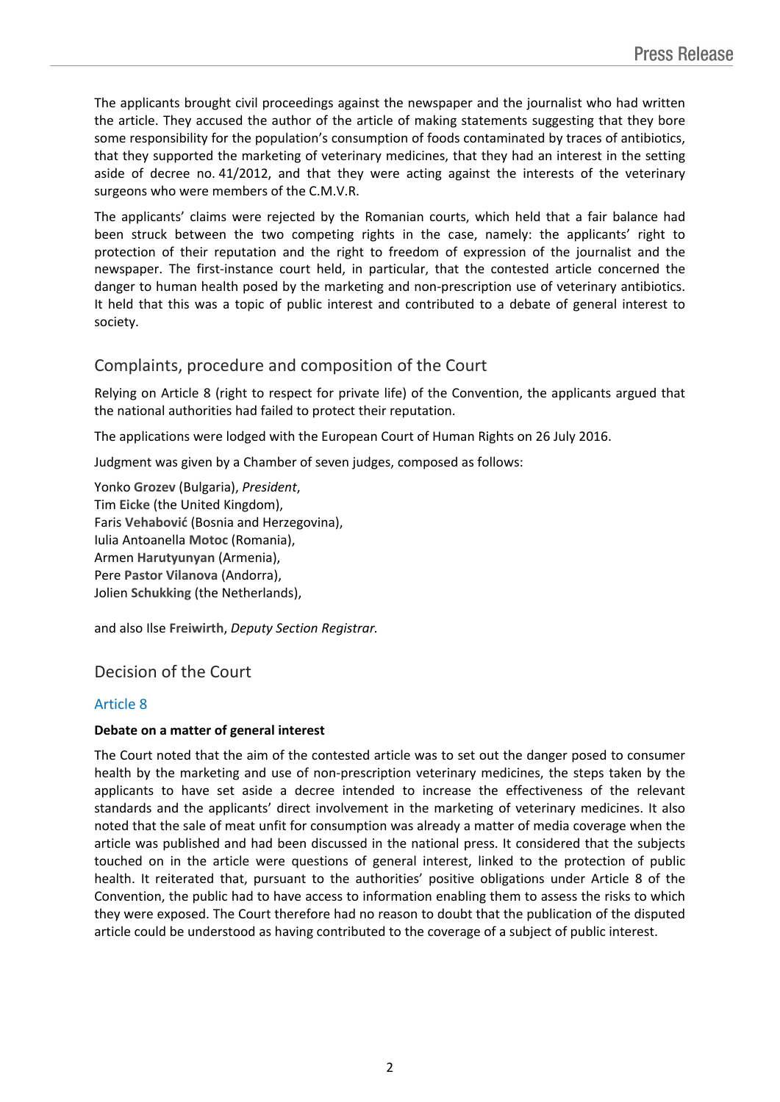The applicants brought civil proceedings against the newspaper and the journalist who had written the article. They accused the author of the article of making statements suggesting that they bore some responsibility for the population's consumption of foods contaminated by traces of antibiotics, that they supported the marketing of veterinary medicines, that they had an interest in the setting aside of decree no. 41/2012, and that they were acting against the interests of the veterinary surgeons who were members of the C.M.V.R.

The applicants' claims were rejected by the Romanian courts, which held that a fair balance had been struck between the two competing rights in the case, namely: the applicants' right to protection of their reputation and the right to freedom of expression of the journalist and the newspaper. The first-instance court held, in particular, that the contested article concerned the danger to human health posed by the marketing and non-prescription use of veterinary antibiotics. It held that this was a topic of public interest and contributed to a debate of general interest to society.

### Complaints, procedure and composition of the Court

Relying on Article 8 (right to respect for private life) of the Convention, the applicants argued that the national authorities had failed to protect their reputation.

The applications were lodged with the European Court of Human Rights on 26 July 2016.

Judgment was given by a Chamber of seven judges, composed as follows:

Yonko **Grozev** (Bulgaria), *President*, Tim **Eicke** (the United Kingdom), Faris **Vehabović** (Bosnia and Herzegovina), Iulia Antoanella **Motoc** (Romania), Armen **Harutyunyan** (Armenia), Pere **Pastor Vilanova** (Andorra), Jolien **Schukking** (the Netherlands),

and also Ilse **Freiwirth**, *Deputy Section Registrar.*

## Decision of the Court

### Article 8

#### **Debate on a matter of general interest**

The Court noted that the aim of the contested article was to set out the danger posed to consumer health by the marketing and use of non-prescription veterinary medicines, the steps taken by the applicants to have set aside a decree intended to increase the effectiveness of the relevant standards and the applicants' direct involvement in the marketing of veterinary medicines. It also noted that the sale of meat unfit for consumption was already a matter of media coverage when the article was published and had been discussed in the national press. It considered that the subjects touched on in the article were questions of general interest, linked to the protection of public health. It reiterated that, pursuant to the authorities' positive obligations under Article 8 of the Convention, the public had to have access to information enabling them to assess the risks to which they were exposed. The Court therefore had no reason to doubt that the publication of the disputed article could be understood as having contributed to the coverage of a subject of public interest.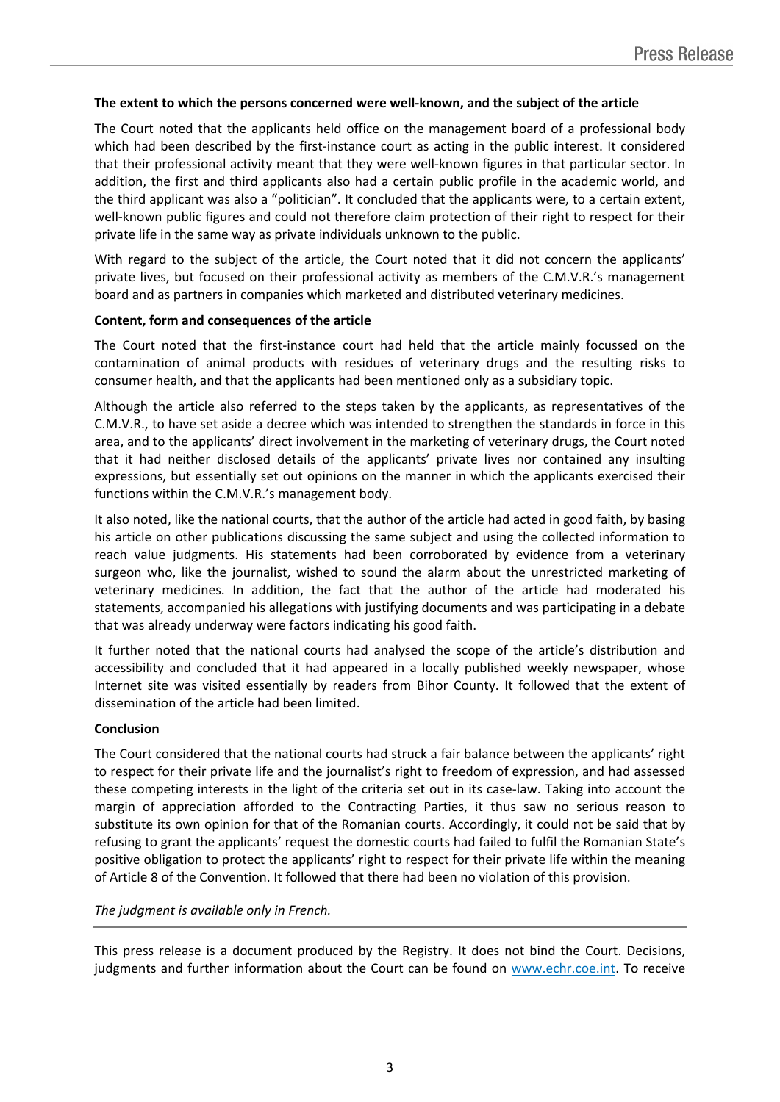#### **The extent to which the persons concerned were well-known, and the subject of the article**

The Court noted that the applicants held office on the management board of a professional body which had been described by the first-instance court as acting in the public interest. It considered that their professional activity meant that they were well-known figures in that particular sector. In addition, the first and third applicants also had a certain public profile in the academic world, and the third applicant was also a "politician". It concluded that the applicants were, to a certain extent, well-known public figures and could not therefore claim protection of their right to respect for their private life in the same way as private individuals unknown to the public.

With regard to the subject of the article, the Court noted that it did not concern the applicants' private lives, but focused on their professional activity as members of the C.M.V.R.'s management board and as partners in companies which marketed and distributed veterinary medicines.

#### **Content, form and consequences of the article**

The Court noted that the first-instance court had held that the article mainly focussed on the contamination of animal products with residues of veterinary drugs and the resulting risks to consumer health, and that the applicants had been mentioned only as a subsidiary topic.

Although the article also referred to the steps taken by the applicants, as representatives of the C.M.V.R., to have set aside a decree which was intended to strengthen the standards in force in this area, and to the applicants' direct involvement in the marketing of veterinary drugs, the Court noted that it had neither disclosed details of the applicants' private lives nor contained any insulting expressions, but essentially set out opinions on the manner in which the applicants exercised their functions within the C.M.V.R.'s management body.

It also noted, like the national courts, that the author of the article had acted in good faith, by basing his article on other publications discussing the same subject and using the collected information to reach value judgments. His statements had been corroborated by evidence from a veterinary surgeon who, like the journalist, wished to sound the alarm about the unrestricted marketing of veterinary medicines. In addition, the fact that the author of the article had moderated his statements, accompanied his allegations with justifying documents and was participating in a debate that was already underway were factors indicating his good faith.

It further noted that the national courts had analysed the scope of the article's distribution and accessibility and concluded that it had appeared in a locally published weekly newspaper, whose Internet site was visited essentially by readers from Bihor County. It followed that the extent of dissemination of the article had been limited.

#### **Conclusion**

The Court considered that the national courts had struck a fair balance between the applicants' right to respect for their private life and the journalist's right to freedom of expression, and had assessed these competing interests in the light of the criteria set out in its case-law. Taking into account the margin of appreciation afforded to the Contracting Parties, it thus saw no serious reason to substitute its own opinion for that of the Romanian courts. Accordingly, it could not be said that by refusing to grant the applicants' request the domestic courts had failed to fulfil the Romanian State's positive obligation to protect the applicants' right to respect for their private life within the meaning of Article 8 of the Convention. It followed that there had been no violation of this provision.

#### *The judgment is available only in French.*

This press release is a document produced by the Registry. It does not bind the Court. Decisions, judgments and further information about the Court can be found on [www.echr.coe.int](http://www.echr.coe.int/). To receive